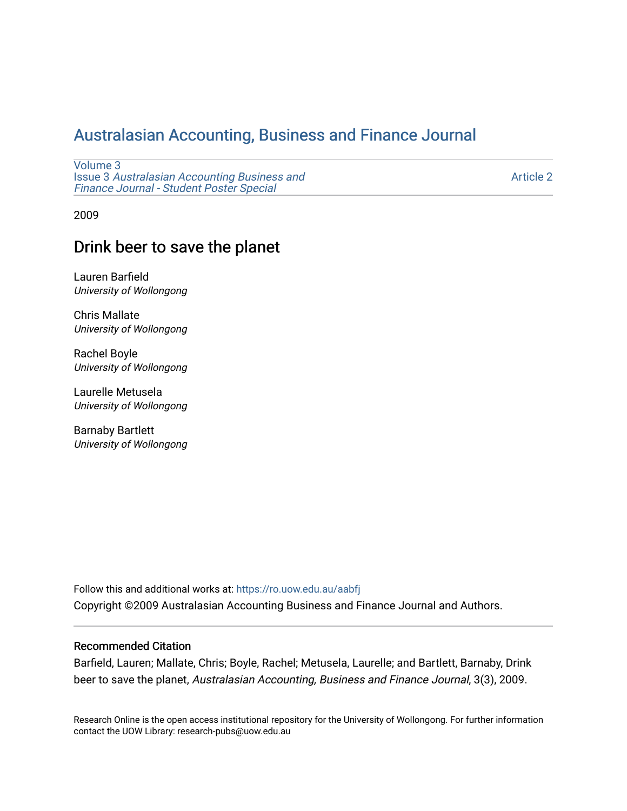# [Australasian Accounting, Business and Finance Journal](https://ro.uow.edu.au/aabfj)

[Volume 3](https://ro.uow.edu.au/aabfj/vol3) Issue 3 [Australasian Accounting Business and](https://ro.uow.edu.au/aabfj/vol3/iss3) [Finance Journal - Student Poster Special](https://ro.uow.edu.au/aabfj/vol3/iss3)

[Article 2](https://ro.uow.edu.au/aabfj/vol3/iss3/2) 

2009

## Drink beer to save the planet

Lauren Barfield University of Wollongong

Chris Mallate University of Wollongong

Rachel Boyle University of Wollongong

Laurelle Metusela University of Wollongong

Barnaby Bartlett University of Wollongong

Follow this and additional works at: [https://ro.uow.edu.au/aabfj](https://ro.uow.edu.au/aabfj?utm_source=ro.uow.edu.au%2Faabfj%2Fvol3%2Fiss3%2F2&utm_medium=PDF&utm_campaign=PDFCoverPages) Copyright ©2009 Australasian Accounting Business and Finance Journal and Authors.

#### Recommended Citation

Barfield, Lauren; Mallate, Chris; Boyle, Rachel; Metusela, Laurelle; and Bartlett, Barnaby, Drink beer to save the planet, Australasian Accounting, Business and Finance Journal, 3(3), 2009.

Research Online is the open access institutional repository for the University of Wollongong. For further information contact the UOW Library: research-pubs@uow.edu.au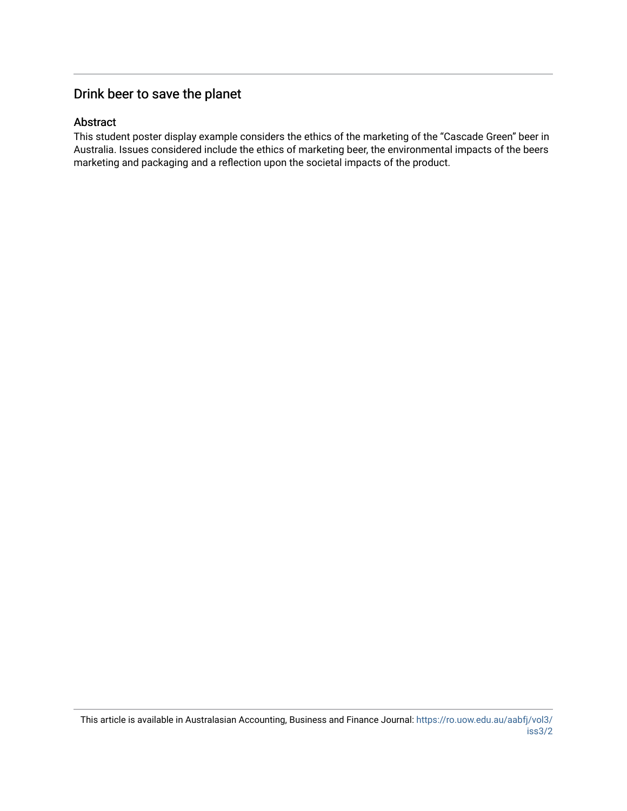# Drink beer to save the planet

#### Abstract

This student poster display example considers the ethics of the marketing of the "Cascade Green" beer in Australia. Issues considered include the ethics of marketing beer, the environmental impacts of the beers marketing and packaging and a reflection upon the societal impacts of the product.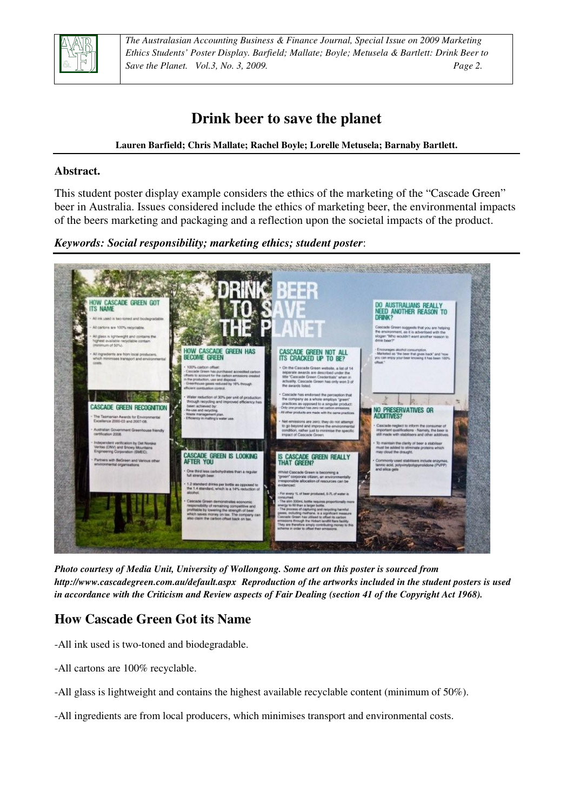

*The Australasian Accounting Business & Finance Journal, Special Issue on 2009 Marketing Ethics Students' Poster Display. Barfield; Mallate; Boyle; Metusela & Bartlett: Drink Beer to Save the Planet. Vol.3, No. 3, 2009. Page 2.*

# **Drink beer to save the planet**

#### **Lauren Barfield; Chris Mallate; Rachel Boyle; Lorelle Metusela; Barnaby Bartlett.**

#### **Abstract.**

This student poster display example considers the ethics of the marketing of the "Cascade Green" beer in Australia. Issues considered include the ethics of marketing beer, the environmental impacts of the beers marketing and packaging and a reflection upon the societal impacts of the product.

*Keywords: Social responsibility; marketing ethics; student poster*:



*Photo courtesy of Media Unit, University of Wollongong. Some art on this poster is sourced from http://www.cascadegreen.com.au/default.aspx Reproduction of the artworks included in the student posters is used in accordance with the Criticism and Review aspects of Fair Dealing (section 41 of the Copyright Act 1968).* 

### **How Cascade Green Got its Name**

- -All ink used is two-toned and biodegradable.
- -All cartons are 100% recyclable.
- -All glass is lightweight and contains the highest available recyclable content (minimum of 50%).
- -All ingredients are from local producers, which minimises transport and environmental costs.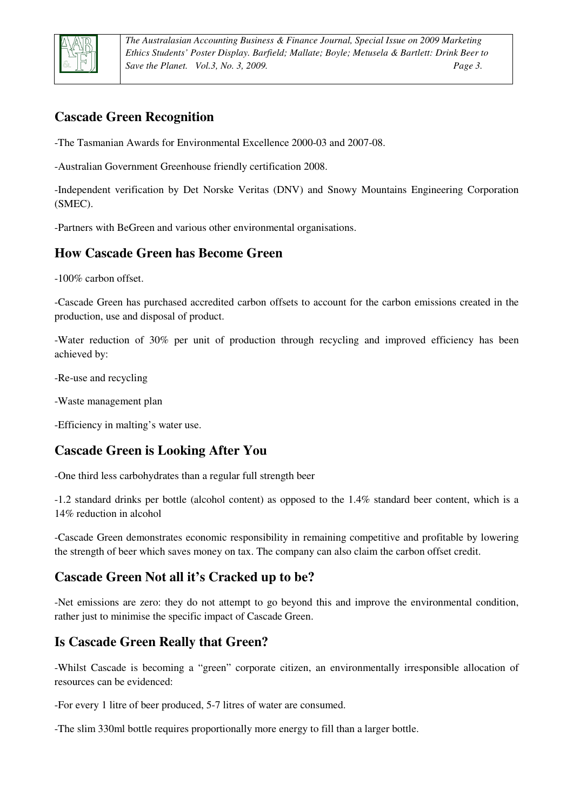

*The Australasian Accounting Business & Finance Journal, Special Issue on 2009 Marketing Ethics Students' Poster Display. Barfield; Mallate; Boyle; Metusela & Bartlett: Drink Beer to Save the Planet. Vol.3, No. 3, 2009. Page 3.*

## **Cascade Green Recognition**

-The Tasmanian Awards for Environmental Excellence 2000-03 and 2007-08.

-Australian Government Greenhouse friendly certification 2008.

-Independent verification by Det Norske Veritas (DNV) and Snowy Mountains Engineering Corporation (SMEC).

-Partners with BeGreen and various other environmental organisations.

### **How Cascade Green has Become Green**

-100% carbon offset.

-Cascade Green has purchased accredited carbon offsets to account for the carbon emissions created in the production, use and disposal of product.

-Water reduction of 30% per unit of production through recycling and improved efficiency has been achieved by:

-Re-use and recycling

-Waste management plan

-Efficiency in malting's water use.

### **Cascade Green is Looking After You**

-One third less carbohydrates than a regular full strength beer

-1.2 standard drinks per bottle (alcohol content) as opposed to the 1.4% standard beer content, which is a 14% reduction in alcohol

-Cascade Green demonstrates economic responsibility in remaining competitive and profitable by lowering the strength of beer which saves money on tax. The company can also claim the carbon offset credit.

### **Cascade Green Not all it's Cracked up to be?**

-Net emissions are zero: they do not attempt to go beyond this and improve the environmental condition, rather just to minimise the specific impact of Cascade Green.

### **Is Cascade Green Really that Green?**

-Whilst Cascade is becoming a "green" corporate citizen, an environmentally irresponsible allocation of resources can be evidenced:

-For every 1 litre of beer produced, 5-7 litres of water are consumed.

-The slim 330ml bottle requires proportionally more energy to fill than a larger bottle.